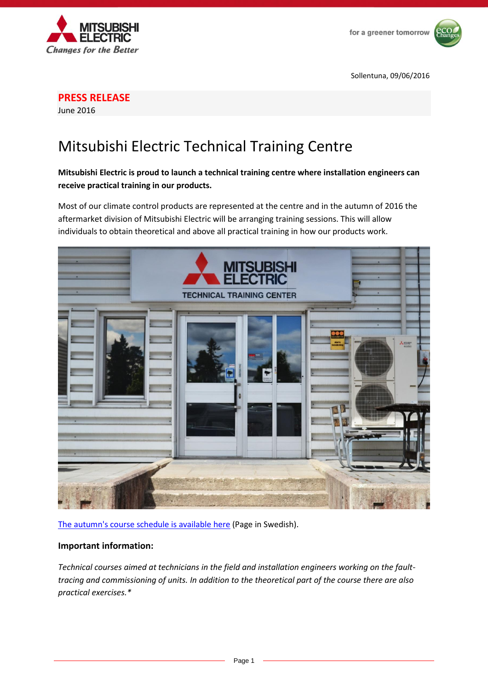



**PRESS RELEASE**

June 2016

## Mitsubishi Electric Technical Training Centre

## **Mitsubishi Electric is proud to launch a technical training centre where installation engineers can receive practical training in our products.**

Most of our climate control products are represented at the centre and in the autumn of 2016 the aftermarket division of Mitsubishi Electric will be arranging training sessions. This will allow individuals to obtain theoretical and above all practical training in how our products work.



[The autumn's course schedule is available](http://mitsubishi-aircon.se/wp-content/uploads/sites/3/2016/06/Tekniska-Utbildningar-H%C3%B6sten-2016.pdf) here (Page in Swedish).

## **Important information:**

*Technical courses aimed at technicians in the field and installation engineers working on the faulttracing and commissioning of units. In addition to the theoretical part of the course there are also practical exercises.\**